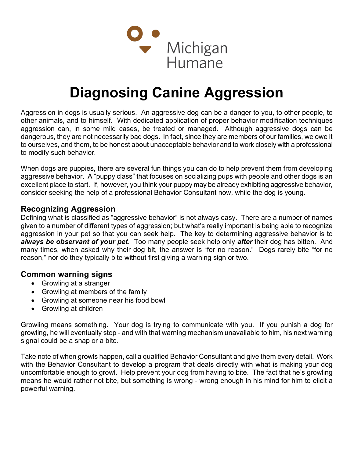

## Diagnosing Canine Aggression

Aggression in dogs is usually serious. An aggressive dog can be a danger to you, to other people, to other animals, and to himself. With dedicated application of proper behavior modification techniques aggression can, in some mild cases, be treated or managed. Although aggressive dogs can be dangerous, they are not necessarily bad dogs. In fact, since they are members of our families, we owe it to ourselves, and them, to be honest about unacceptable behavior and to work closely with a professional to modify such behavior.

When dogs are puppies, there are several fun things you can do to help prevent them from developing aggressive behavior. A "puppy class" that focuses on socializing pups with people and other dogs is an excellent place to start. If, however, you think your puppy may be already exhibiting aggressive behavior, consider seeking the help of a professional Behavior Consultant now, while the dog is young.

## Recognizing Aggression

Defining what is classified as "aggressive behavior" is not always easy. There are a number of names given to a number of different types of aggression; but what's really important is being able to recognize aggression in your pet so that you can seek help. The key to determining aggressive behavior is to always be observant of your pet. Too many people seek help only after their dog has bitten. And many times, when asked why their dog bit, the answer is "for no reason." Dogs rarely bite "for no reason," nor do they typically bite without first giving a warning sign or two.

## Common warning signs

- Growling at a stranger
- Growling at members of the family
- Growling at someone near his food bowl
- Growling at children

Growling means something. Your dog is trying to communicate with you. If you punish a dog for growling, he will eventually stop - and with that warning mechanism unavailable to him, his next warning signal could be a snap or a bite.

Take note of when growls happen, call a qualified Behavior Consultant and give them every detail. Work with the Behavior Consultant to develop a program that deals directly with what is making your dog uncomfortable enough to growl. Help prevent your dog from having to bite. The fact that he's growling means he would rather not bite, but something is wrong - wrong enough in his mind for him to elicit a powerful warning.